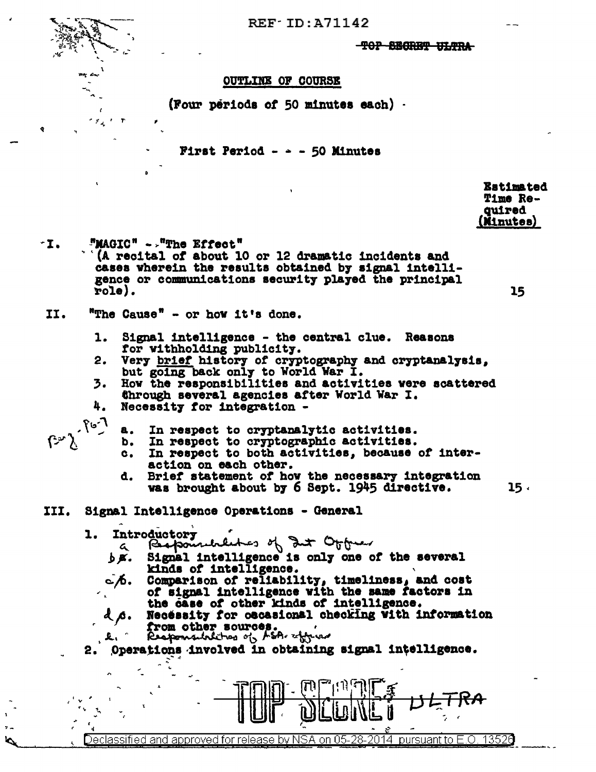

## $REF$  ID: A71142

**-TOP SEGRET ULTRA-**

## **OUTLINE OF COURSE**

(Four periods of 50 minutes each).

First Period -  $\sim$  - 50 Minutes

**Estimated Time Reauired** (Minutes)

15

15.

**"MAGIC" - The Effect"** ÷Ι. (A recital of about 10 or 12 dramatic incidents and cases wherein the results obtained by signal intelligence or communications security played the principal  $role).$ 

- II. "The Cause" - or how it's done.
	- Signal intelligence the central clue. Reasons 1. for withholding publicity.
	- Very brief history of cryptography and cryptanalysis,  $2.$ but going back only to World War I.
	- How the responsibilities and activities were scattered 3. through several agencies after World War I.
	- 4. Necessity for integration -

7-ئع

- In respect to cryptanalytic activities. А.
- In respect to cryptographic activities. b.
- In respect to both activities, because of inter $c_{\bullet}$ action on each other.
- Brief statement of how the necessary integration đ. was brought about by 6 Sept. 1945 directive.
- III. Signal Intelligence Operations - General
	- l. Introductory
		- $\mathbf{a}$
		- Responsibles of dut Office. 6K. kinds of intelligence.
		- ் ∕். Comparison of reliability, timeliness, and cost of signal intelligence with the same factors in the case of other kinds of intelligence.
		- Necessity for oscasional checking with information ďβ. from other sources.
		- £.
	- Operations involved in obtaining signal intelligence.

Declassified and approved for release by NSA on 05-28-2014 pursuant to E.O. 13526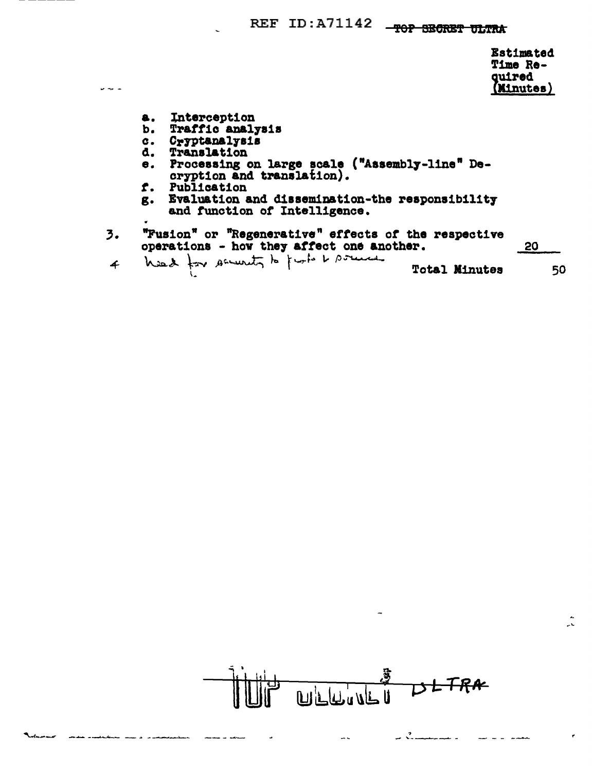#### **REF ID:A71142**  $-90P$ **SRARRA**

|                                                                                             | <b>Estimated</b><br>Time Re-<br>quired<br>(Minutes) |
|---------------------------------------------------------------------------------------------|-----------------------------------------------------|
| Interception<br>Traffic analysis                                                            |                                                     |
| Cryptanalysis                                                                               |                                                     |
| Translation<br>Processing on large scale ("Assembly-line" De-<br>cryption and translation). |                                                     |
| Publication<br>Evaluation and dissemination-the responsibility                              |                                                     |
| and function of Intelligence.                                                               |                                                     |
| . <b>. .</b><br><b>The composition of a state that the state of the second</b>              |                                                     |

| 3. | "Fusion" or "Regenerative" effects of the respective<br>operations - how they affect one another.                                                                                                                              | <u> 20</u> |
|----|--------------------------------------------------------------------------------------------------------------------------------------------------------------------------------------------------------------------------------|------------|
|    | . A service and the service of the service of the service of the service of the service of the service of the service of the service of the service of the service of the service of the service of the service of the service |            |

 $\omega$  and  $\omega$ 

b.  $\overline{c}$ .  $\bullet$ .

f.  $g_{\bullet}$ 

| $\overline{4}$ |  | his 2 for security to further the |  |  | <b>Total Minutes</b> | 50 |
|----------------|--|-----------------------------------|--|--|----------------------|----|
|                |  |                                   |  |  |                      |    |

**DLTRA**  $\mathfrak{F}^-$ لكاأيرليل بمال 

 $\rightarrow$ 

للعوام مستمر

 $\frac{1}{\sqrt{2}}$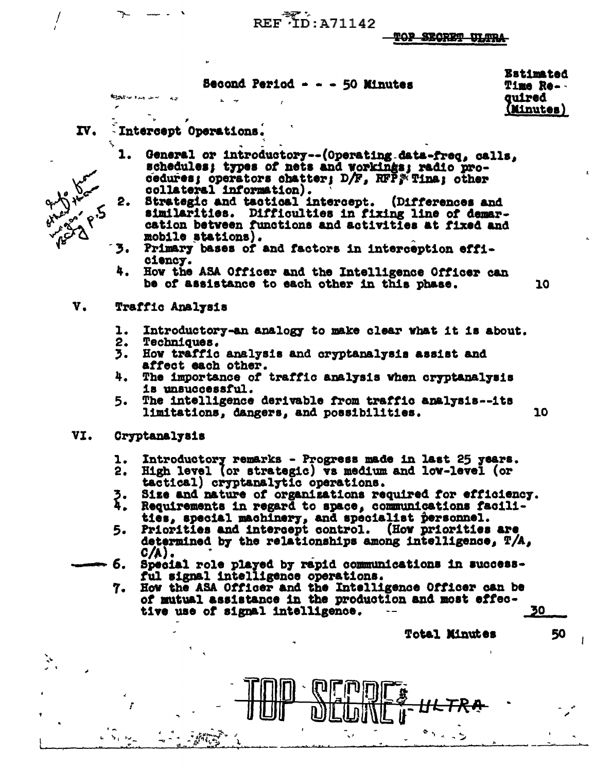REF ID: A71142

**TOP SECRET ULTRA** 

Second Period - - - 50 Minutes

**Estimated Time Reguired** (Minutes)

10

10

### IV. Intercept Operations.

**Kint of the** 

- General or introductory--(Operating data-freq, calls, 1. schedules; types of nets and workings; radio procedures; operators chatter;  $D/F$ , RFP  $\tilde{F}$  Tina; other collateral information).
- 2. Strategic and tactical intercept. (Differences and similarities. Difficulties in fixing line of demarcation between functions and activities at fixed and mobile stations).
- 3. Primary bases of and factors in interception efficiency.
- 4. How the ASA Officer and the Intelligence Officer can be of assistance to each other in this phase.

#### $\mathbf{v}_{\bullet}$ Traffic Analysis

- $\mathbf{L}$ Introductory-an analogy to make clear what it is about.
- 2. **Techniques.**
- 3. How traffic analysis and cryptanalysis assist and affect each other.
- 4. The importance of traffic analysis when cryptanalysis is unsuccessful.
- The intelligence derivable from traffic analysis--its 5. limitations, dangers, and possibilities.

#### VI. Cryptanalysis

- Introductory remarks Progress made in last 25 years. l.
- 2. High level (or strategic) vs medium and low-level (or tactical) cryptanalytic operations.
- Size and nature of organizations required for efficiency.
- Z.<br>4. Requirements in regard to space, communications facilities, special machinery, and specialist personnel.<br>Priorities and intercept control. (How priorities are
- 5. determined by the relationships among intelligence, T/A,  $C/A$ ).
- б. Special role played by rapid communications in successful signal intelligence operations.
	- 7. How the ASA Officer and the Intelligence Officer can be of mutual assistance in the production and most effective use of signal intelligence. 30

**Total Minutes** 

50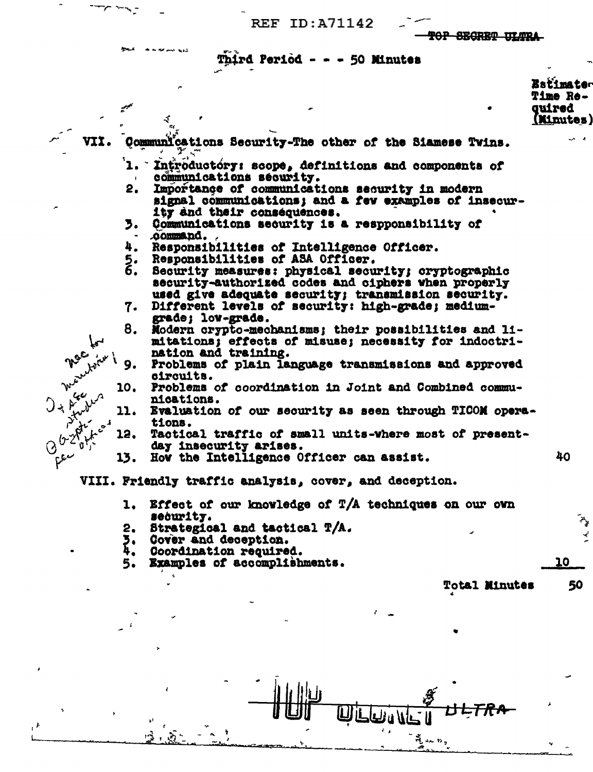**REF ID: A71142** 

**OP SECRET ULTRA** 

**Estimater** 

# **Third Period - - - 50 Minutes**

**Time Re-Guired** (Minutes) VII. Communications Security-The other of the Siamese Twins. ำ. -Introductory: scope, definitions and components of communications security.  $2.$ Importance of communications security in modern signal communications; and a few examples of insecurity and their consequences. 3. Communications security is a respponsibility of command. 4. Responsibilities of Intelligence Officer.  $\bar{\mathbf{z}}$ . Responsibilities of ASA Officer. Security measures: physical security; cryptographic security-authorized codes and ciphers when properly used give adequate security; transmission security. 7. Different levels of security: high-grade; mediumgrade; low-grade. 8. Modern crypto-mechanisms; their possibilities and limitations; effects of misuse; necessity for indoctrination and training. Problems of plain language transmissions and approved 9. circuits. Problems of coordination in Joint and Combined commu-10. لردا nications. Arivel 11. Evaluation of our security as seen through TICOM opera-Ar tions. Tactical traffic of small units-where most of present-12. 12 day insecurity arises.  $\Omega$ 40 سقماتها 13. How the Intelligence Officer can assist. VIII. Friendly traffic analysis, cover, and deception.

- Effect of our knowledge of T/A techniques on our own ı. security.
- $2.$ Strategical and tactical T/A.
- Cover and deception. ን.<br>4.
- Coordination required.
- 5. Examples of accomplishments.

**Total Minutes** 

10

50

ن ده شده.